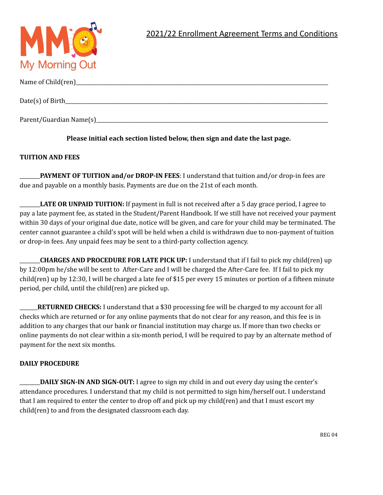

| Parent/Guardian Name(s) |
|-------------------------|

**Please initial each section listed below, then sign and date the last page.**

## **TUITION AND FEES**

\_\_\_\_\_\_\_\_**PAYMENT OF TUITION and/or DROP-IN FEES**: I understand that tuition and/or drop-in fees are due and payable on a monthly basis. Payments are due on the 21st of each month.

\_\_\_\_\_\_\_\_**LATE OR UNPAID TUITION:** If payment in full is not received after a 5 day grace period, I agree to pay a late payment fee, as stated in the Student/Parent Handbook. If we still have not received your payment within 30 days of your original due date, notice will be given, and care for your child may be terminated. The center cannot guarantee a child's spot will be held when a child is withdrawn due to non-payment of tuition or drop-in fees. Any unpaid fees may be sent to a third-party collection agency.

\_\_\_\_\_\_\_\_**CHARGES AND PROCEDURE FOR LATE PICK UP:** I understand that if I fail to pick my child(ren) up by 12:00pm he/she will be sent to After-Care and I will be charged the After-Care fee. If I fail to pick my child(ren) up by 12:30, I will be charged a late fee of \$15 per every 15 minutes or portion of a fifteen minute period, per child, until the child(ren) are picked up.

\_\_\_\_\_\_\_**RETURNED CHECKS:** I understand that a \$30 processing fee will be charged to my account for all checks which are returned or for any online payments that do not clear for any reason, and this fee is in addition to any charges that our bank or financial institution may charge us. If more than two checks or online payments do not clear within a six-month period, I will be required to pay by an alternate method of payment for the next six months.

## **DAILY PROCEDURE**

\_\_\_\_\_\_\_\_**DAILY SIGN-IN AND SIGN-OUT:** I agree to sign my child in and out every day using the center's attendance procedures. I understand that my child is not permitted to sign him/herself out. I understand that I am required to enter the center to drop off and pick up my child(ren) and that I must escort my child(ren) to and from the designated classroom each day.